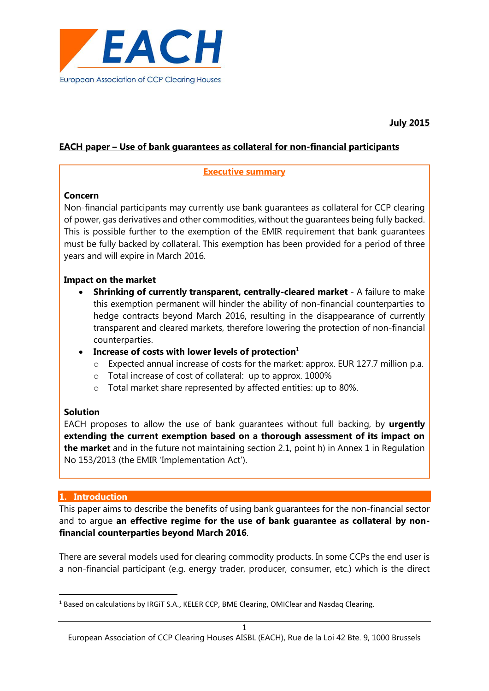

## **EACH paper – Use of bank guarantees as collateral for non-financial participants**

#### **Executive summary**

### **Concern**

Non-financial participants may currently use bank guarantees as collateral for CCP clearing of power, gas derivatives and other commodities, without the guarantees being fully backed. This is possible further to the exemption of the EMIR requirement that bank guarantees must be fully backed by collateral. This exemption has been provided for a period of three years and will expire in March 2016.

### **Impact on the market**

- **Shrinking of currently transparent, centrally-cleared market** A failure to make this exemption permanent will hinder the ability of non-financial counterparties to hedge contracts beyond March 2016, resulting in the disappearance of currently transparent and cleared markets, therefore lowering the protection of non-financial counterparties.
- **Increase of costs with lower levels of protection**<sup>1</sup>
	- o Expected annual increase of costs for the market: approx. EUR 127.7 million p.a.
	- o Total increase of cost of collateral: up to approx. 1000%
	- o Total market share represented by affected entities: up to 80%.

# **Solution**

EACH proposes to allow the use of bank guarantees without full backing, by **urgently extending the current exemption based on a thorough assessment of its impact on the market** and in the future not maintaining section 2.1, point h) in Annex 1 in Regulation No 153/2013 (the EMIR 'Implementation Act').

#### **1. Introduction**

**.** 

This paper aims to describe the benefits of using bank guarantees for the non-financial sector and to argue **an effective regime for the use of bank guarantee as collateral by nonfinancial counterparties beyond March 2016**.

There are several models used for clearing commodity products. In some CCPs the end user is a non-financial participant (e.g. energy trader, producer, consumer, etc.) which is the direct

<sup>&</sup>lt;sup>1</sup> Based on calculations by IRGIT S.A., KELER CCP, BME Clearing, OMIClear and Nasdaq Clearing.

European Association of CCP Clearing Houses AISBL (EACH), Rue de la Loi 42 Bte. 9, 1000 Brussels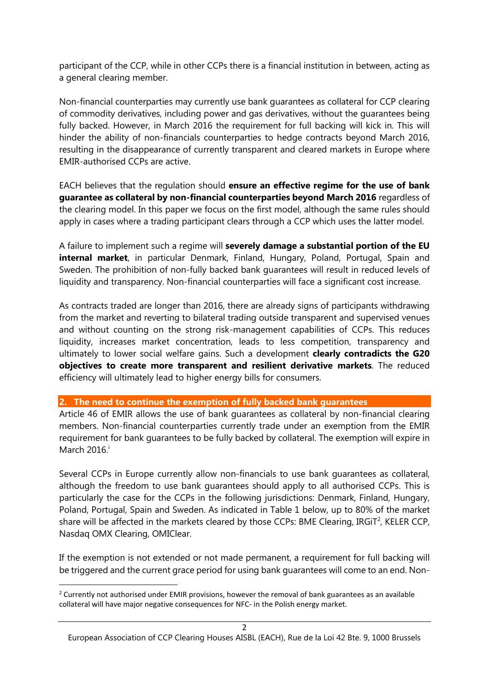participant of the CCP, while in other CCPs there is a financial institution in between, acting as a general clearing member.

Non-financial counterparties may currently use bank guarantees as collateral for CCP clearing of commodity derivatives, including power and gas derivatives, without the guarantees being fully backed. However, in March 2016 the requirement for full backing will kick in. This will hinder the ability of non-financials counterparties to hedge contracts beyond March 2016, resulting in the disappearance of currently transparent and cleared markets in Europe where EMIR-authorised CCPs are active.

EACH believes that the regulation should **ensure an effective regime for the use of bank guarantee as collateral by non-financial counterparties beyond March 2016** regardless of the clearing model. In this paper we focus on the first model, although the same rules should apply in cases where a trading participant clears through a CCP which uses the latter model.

A failure to implement such a regime will **severely damage a substantial portion of the EU internal market**, in particular Denmark, Finland, Hungary, Poland, Portugal, Spain and Sweden. The prohibition of non-fully backed bank guarantees will result in reduced levels of liquidity and transparency. Non-financial counterparties will face a significant cost increase.

As contracts traded are longer than 2016, there are already signs of participants withdrawing from the market and reverting to bilateral trading outside transparent and supervised venues and without counting on the strong risk-management capabilities of CCPs. This reduces liquidity, increases market concentration, leads to less competition, transparency and ultimately to lower social welfare gains. Such a development **clearly contradicts the G20 objectives to create more transparent and resilient derivative markets**. The reduced efficiency will ultimately lead to higher energy bills for consumers.

**2. The need to continue the exemption of fully backed bank guarantees**

Article 46 of EMIR allows the use of bank guarantees as collateral by non-financial clearing members. Non-financial counterparties currently trade under an exemption from the EMIR requirement for bank guarantees to be fully backed by collateral. The exemption will expire in March  $2016$ <sup>i</sup>

Several CCPs in Europe currently allow non-financials to use bank guarantees as collateral, although the freedom to use bank guarantees should apply to all authorised CCPs. This is particularly the case for the CCPs in the following jurisdictions: Denmark, Finland, Hungary, Poland, Portugal, Spain and Sweden. As indicated in Table 1 below, up to 80% of the market share will be affected in the markets cleared by those CCPs: BME Clearing, IRGIT<sup>2</sup>, KELER CCP, Nasdaq OMX Clearing, OMIClear.

If the exemption is not extended or not made permanent, a requirement for full backing will be triggered and the current grace period for using bank guarantees will come to an end. Non-

**.** 

<sup>&</sup>lt;sup>2</sup> Currently not authorised under EMIR provisions, however the removal of bank guarantees as an available collateral will have major negative consequences for NFC- in the Polish energy market.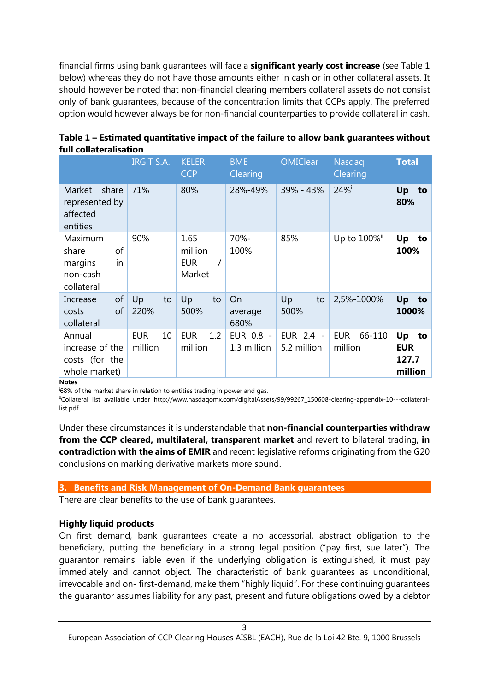financial firms using bank guarantees will face a **significant yearly cost increase** (see Table 1 below) whereas they do not have those amounts either in cash or in other collateral assets. It should however be noted that non-financial clearing members collateral assets do not consist only of bank guarantees, because of the concentration limits that CCPs apply. The preferred option would however always be for non-financial counterparties to provide collateral in cash.

|                                                                   | <b>IRGIT S.A.</b>           | <b>KELER</b><br><b>CCP</b>              | <b>BME</b><br>Clearing   | <b>OMIClear</b>          | Nasdaq<br>Clearing              | <b>Total</b>                               |
|-------------------------------------------------------------------|-----------------------------|-----------------------------------------|--------------------------|--------------------------|---------------------------------|--------------------------------------------|
| Market<br>share<br>represented by<br>affected<br>entities         | 71%                         | 80%                                     | 28%-49%                  | 39% - 43%                | 24%                             | Up<br>to<br>80%                            |
| Maximum<br>of<br>share<br>in<br>margins<br>non-cash<br>collateral | 90%                         | 1.65<br>million<br><b>EUR</b><br>Market | 70%-<br>100%             | 85%                      | Up to 100%"                     | Up<br>to<br>100%                           |
| of<br>Increase<br>of<br>costs<br>collateral                       | Up<br>to<br>220%            | Up<br>to<br>500%                        | On<br>average<br>680%    | Up<br>to<br>500%         | 2,5%-1000%                      | Up<br>to<br>1000%                          |
| Annual<br>increase of the<br>costs (for the<br>whole market)      | <b>EUR</b><br>10<br>million | <b>EUR</b><br>1.2<br>million            | EUR 0.8 -<br>1.3 million | EUR 2.4 -<br>5.2 million | <b>EUR</b><br>66-110<br>million | Up<br>to<br><b>EUR</b><br>127.7<br>million |

| Table 1 – Estimated quantitative impact of the failure to allow bank guarantees without |
|-----------------------------------------------------------------------------------------|
| full collateralisation                                                                  |

**Notes**

<sup>i</sup>68% of the market share in relation to entities trading in power and gas.

iiCollateral list available under http://www.nasdaqomx.com/digitalAssets/99/99267\_150608-clearing-appendix-10---collaterallist.pdf

Under these circumstances it is understandable that **non-financial counterparties withdraw from the CCP cleared, multilateral, transparent market** and revert to bilateral trading, **in contradiction with the aims of EMIR** and recent legislative reforms originating from the G20 conclusions on marking derivative markets more sound.

#### **3. Benefits and Risk Management of On-Demand Bank guarantees**

There are clear benefits to the use of bank guarantees.

# **Highly liquid products**

On first demand, bank guarantees create a no accessorial, abstract obligation to the beneficiary, putting the beneficiary in a strong legal position ("pay first, sue later"). The guarantor remains liable even if the underlying obligation is extinguished, it must pay immediately and cannot object. The characteristic of bank guarantees as unconditional, irrevocable and on- first-demand, make them "highly liquid". For these continuing guarantees the guarantor assumes liability for any past, present and future obligations owed by a debtor